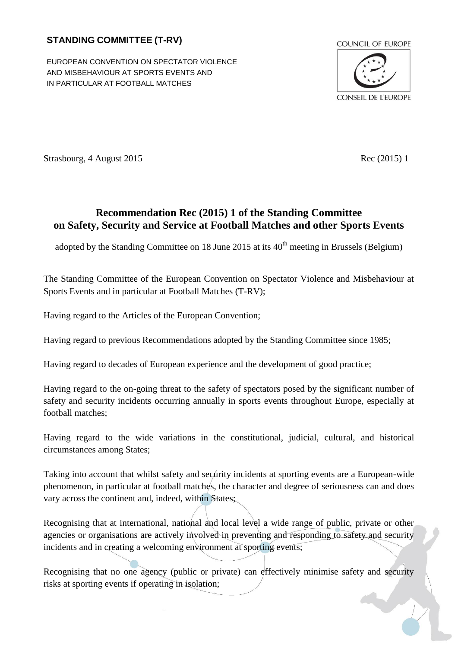# **STANDING COMMITTEE (T-RV)**

EUROPEAN CONVENTION ON SPECTATOR VIOLENCE AND MISBEHAVIOUR AT SPORTS EVENTS AND IN PARTICULAR AT FOOTBALL MATCHES



Strasbourg, 4 August 2015 Rec (2015) 1

# **Recommendation Rec (2015) 1 of the Standing Committee on Safety, Security and Service at Football Matches and other Sports Events**

adopted by the Standing Committee on 18 June 2015 at its  $40<sup>th</sup>$  meeting in Brussels (Belgium)

The Standing Committee of the European Convention on Spectator Violence and Misbehaviour at Sports Events and in particular at Football Matches (T-RV);

Having regard to the Articles of the European Convention;

Having regard to previous Recommendations adopted by the Standing Committee since 1985;

Having regard to decades of European experience and the development of good practice;

Having regard to the on-going threat to the safety of spectators posed by the significant number of safety and security incidents occurring annually in sports events throughout Europe, especially at football matches;

Having regard to the wide variations in the constitutional, judicial, cultural, and historical circumstances among States;

Taking into account that whilst safety and security incidents at sporting events are a European-wide phenomenon, in particular at football matches, the character and degree of seriousness can and does vary across the continent and, indeed, within States;

Recognising that at international, national and local level a wide range of public, private or other agencies or organisations are actively involved in preventing and responding to safety and security incidents and in creating a welcoming environment at sporting events;

Recognising that no one agency (public or private) can effectively minimise safety and security risks at sporting events if operating in isolation;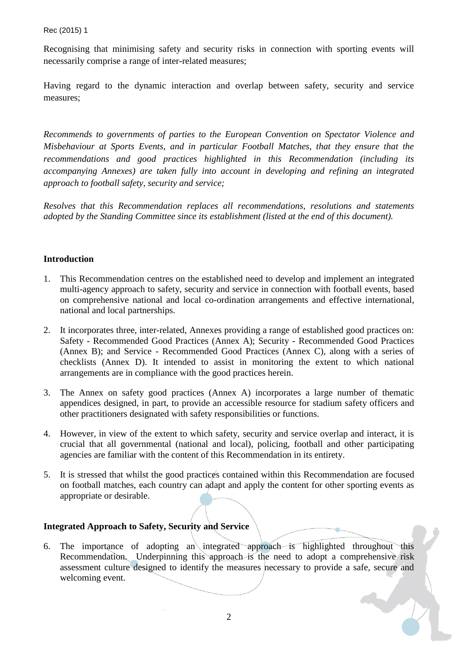Recognising that minimising safety and security risks in connection with sporting events will necessarily comprise a range of inter-related measures;

Having regard to the dynamic interaction and overlap between safety, security and service measures;

*Recommends to governments of parties to the European Convention on Spectator Violence and Misbehaviour at Sports Events, and in particular Football Matches, that they ensure that the recommendations and good practices highlighted in this Recommendation (including its accompanying Annexes) are taken fully into account in developing and refining an integrated approach to football safety, security and service;*

*Resolves that this Recommendation replaces all recommendations, resolutions and statements adopted by the Standing Committee since its establishment (listed at the end of this document).*

# **Introduction**

- 1. This Recommendation centres on the established need to develop and implement an integrated multi-agency approach to safety, security and service in connection with football events, based on comprehensive national and local co-ordination arrangements and effective international, national and local partnerships.
- 2. It incorporates three, inter-related, Annexes providing a range of established good practices on: Safety - Recommended Good Practices (Annex A); Security - Recommended Good Practices (Annex B); and Service - Recommended Good Practices (Annex C), along with a series of checklists (Annex D). It intended to assist in monitoring the extent to which national arrangements are in compliance with the good practices herein.
- 3. The Annex on safety good practices (Annex A) incorporates a large number of thematic appendices designed, in part, to provide an accessible resource for stadium safety officers and other practitioners designated with safety responsibilities or functions.
- 4. However, in view of the extent to which safety, security and service overlap and interact, it is crucial that all governmental (national and local), policing, football and other participating agencies are familiar with the content of this Recommendation in its entirety.
- 5. It is stressed that whilst the good practices contained within this Recommendation are focused on football matches, each country can adapt and apply the content for other sporting events as appropriate or desirable.

# **Integrated Approach to Safety, Security and Service**

6. The importance of adopting an integrated approach is highlighted throughout this Recommendation. Underpinning this approach is the need to adopt a comprehensive risk assessment culture designed to identify the measures necessary to provide a safe, secure and welcoming event.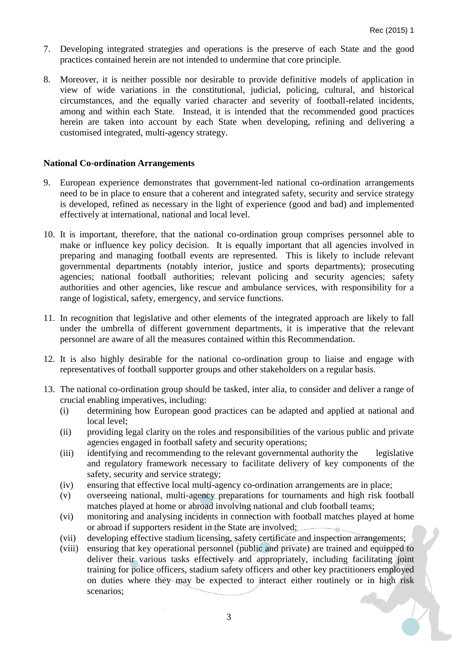- 7. Developing integrated strategies and operations is the preserve of each State and the good practices contained herein are not intended to undermine that core principle.
- 8. Moreover, it is neither possible nor desirable to provide definitive models of application in view of wide variations in the constitutional, judicial, policing, cultural, and historical circumstances, and the equally varied character and severity of football-related incidents, among and within each State. Instead, it is intended that the recommended good practices herein are taken into account by each State when developing, refining and delivering a customised integrated, multi-agency strategy.

#### **National Co-ordination Arrangements**

- 9. European experience demonstrates that government-led national co-ordination arrangements need to be in place to ensure that a coherent and integrated safety, security and service strategy is developed, refined as necessary in the light of experience (good and bad) and implemented effectively at international, national and local level.
- 10. It is important, therefore, that the national co-ordination group comprises personnel able to make or influence key policy decision. It is equally important that all agencies involved in preparing and managing football events are represented. This is likely to include relevant governmental departments (notably interior, justice and sports departments); prosecuting agencies; national football authorities; relevant policing and security agencies; safety authorities and other agencies, like rescue and ambulance services, with responsibility for a range of logistical, safety, emergency, and service functions.
- 11. In recognition that legislative and other elements of the integrated approach are likely to fall under the umbrella of different government departments, it is imperative that the relevant personnel are aware of all the measures contained within this Recommendation.
- 12. It is also highly desirable for the national co-ordination group to liaise and engage with representatives of football supporter groups and other stakeholders on a regular basis.
- 13. The national co-ordination group should be tasked, inter alia, to consider and deliver a range of crucial enabling imperatives, including:
	- (i) determining how European good practices can be adapted and applied at national and local level;
	- (ii) providing legal clarity on the roles and responsibilities of the various public and private agencies engaged in football safety and security operations;
	- (iii) identifying and recommending to the relevant governmental authority the legislative and regulatory framework necessary to facilitate delivery of key components of the safety, security and service strategy;
	- (iv) ensuring that effective local multi-agency co-ordination arrangements are in place;
	- (v) overseeing national, multi-agency preparations for tournaments and high risk football matches played at home or abroad involving national and club football teams;
	- (vi) monitoring and analysing incidents in connection with football matches played at home or abroad if supporters resident in the State are involved;
	- (vii) developing effective stadium licensing, safety certificate and inspection arrangements;
	- (viii) ensuring that key operational personnel (public and private) are trained and equipped to deliver their various tasks effectively and appropriately, including facilitating joint training for police officers, stadium safety officers and other key practitioners employed on duties where they may be expected to interact either routinely or in high risk scenarios;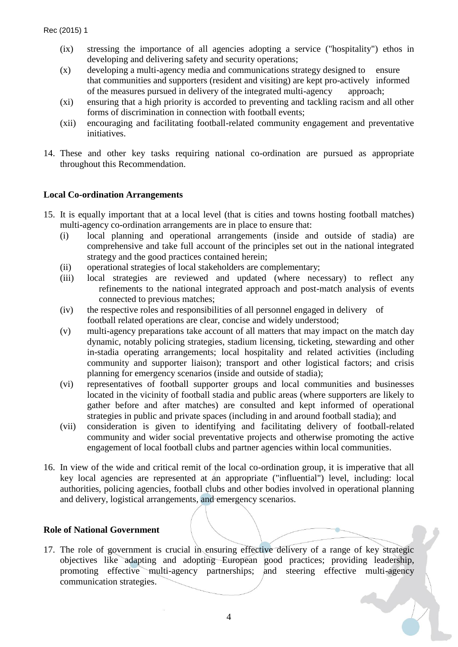- (ix) stressing the importance of all agencies adopting a service ("hospitality") ethos in developing and delivering safety and security operations;
- (x) developing a multi-agency media and communications strategy designed to ensure that communities and supporters (resident and visiting) are kept pro-actively informed of the measures pursued in delivery of the integrated multi-agency approach;
- (xi) ensuring that a high priority is accorded to preventing and tackling racism and all other forms of discrimination in connection with football events;
- (xii) encouraging and facilitating football-related community engagement and preventative initiatives.
- 14. These and other key tasks requiring national co-ordination are pursued as appropriate throughout this Recommendation.

## **Local Co-ordination Arrangements**

- 15. It is equally important that at a local level (that is cities and towns hosting football matches) multi-agency co-ordination arrangements are in place to ensure that:
	- (i) local planning and operational arrangements (inside and outside of stadia) are comprehensive and take full account of the principles set out in the national integrated strategy and the good practices contained herein;
	- (ii) operational strategies of local stakeholders are complementary;
	- (iii) local strategies are reviewed and updated (where necessary) to reflect any refinements to the national integrated approach and post-match analysis of events connected to previous matches;
	- (iv) the respective roles and responsibilities of all personnel engaged in delivery of football related operations are clear, concise and widely understood;
	- (v) multi-agency preparations take account of all matters that may impact on the match day dynamic, notably policing strategies, stadium licensing, ticketing, stewarding and other in-stadia operating arrangements; local hospitality and related activities (including community and supporter liaison); transport and other logistical factors; and crisis planning for emergency scenarios (inside and outside of stadia);
	- (vi) representatives of football supporter groups and local communities and businesses located in the vicinity of football stadia and public areas (where supporters are likely to gather before and after matches) are consulted and kept informed of operational strategies in public and private spaces (including in and around football stadia); and
	- (vii) consideration is given to identifying and facilitating delivery of football-related community and wider social preventative projects and otherwise promoting the active engagement of local football clubs and partner agencies within local communities.
- 16. In view of the wide and critical remit of the local co-ordination group, it is imperative that all key local agencies are represented at an appropriate ("influential") level, including: local authorities, policing agencies, football clubs and other bodies involved in operational planning and delivery, logistical arrangements, and emergency scenarios.

#### **Role of National Government**

17. The role of government is crucial in ensuring effective delivery of a range of key strategic objectives like adapting and adopting European good practices; providing leadership, promoting effective multi-agency partnerships; and steering effective multi-agency communication strategies.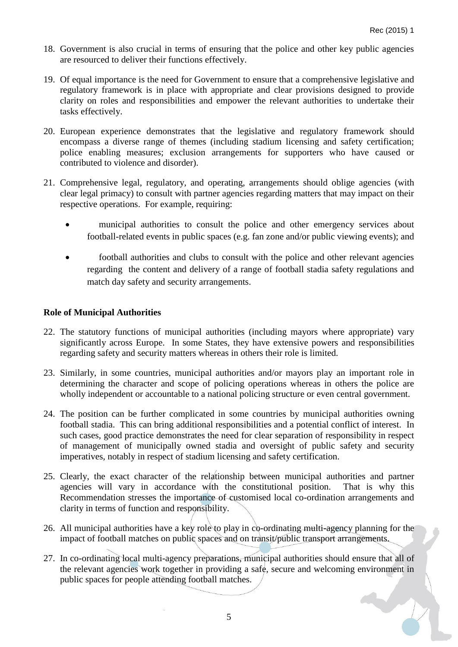- 18. Government is also crucial in terms of ensuring that the police and other key public agencies are resourced to deliver their functions effectively.
- 19. Of equal importance is the need for Government to ensure that a comprehensive legislative and regulatory framework is in place with appropriate and clear provisions designed to provide clarity on roles and responsibilities and empower the relevant authorities to undertake their tasks effectively.
- 20. European experience demonstrates that the legislative and regulatory framework should encompass a diverse range of themes (including stadium licensing and safety certification; police enabling measures; exclusion arrangements for supporters who have caused or contributed to violence and disorder).
- 21. Comprehensive legal, regulatory, and operating, arrangements should oblige agencies (with clear legal primacy) to consult with partner agencies regarding matters that may impact on their respective operations. For example, requiring:
	- municipal authorities to consult the police and other emergency services about football-related events in public spaces (e.g. fan zone and/or public viewing events); and
	- football authorities and clubs to consult with the police and other relevant agencies regarding the content and delivery of a range of football stadia safety regulations and match day safety and security arrangements.

## **Role of Municipal Authorities**

- 22. The statutory functions of municipal authorities (including mayors where appropriate) vary significantly across Europe. In some States, they have extensive powers and responsibilities regarding safety and security matters whereas in others their role is limited.
- 23. Similarly, in some countries, municipal authorities and/or mayors play an important role in determining the character and scope of policing operations whereas in others the police are wholly independent or accountable to a national policing structure or even central government.
- 24. The position can be further complicated in some countries by municipal authorities owning football stadia. This can bring additional responsibilities and a potential conflict of interest. In such cases, good practice demonstrates the need for clear separation of responsibility in respect of management of municipally owned stadia and oversight of public safety and security imperatives, notably in respect of stadium licensing and safety certification.
- 25. Clearly, the exact character of the relationship between municipal authorities and partner agencies will vary in accordance with the constitutional position. That is why this Recommendation stresses the importance of customised local co-ordination arrangements and clarity in terms of function and responsibility.
- 26. All municipal authorities have a key role to play in co-ordinating multi-agency planning for the impact of football matches on public spaces and on transit/public transport arrangements.
- 27. In co-ordinating local multi-agency preparations, municipal authorities should ensure that all of the relevant agencies work together in providing a safe, secure and welcoming environment in public spaces for people attending football matches.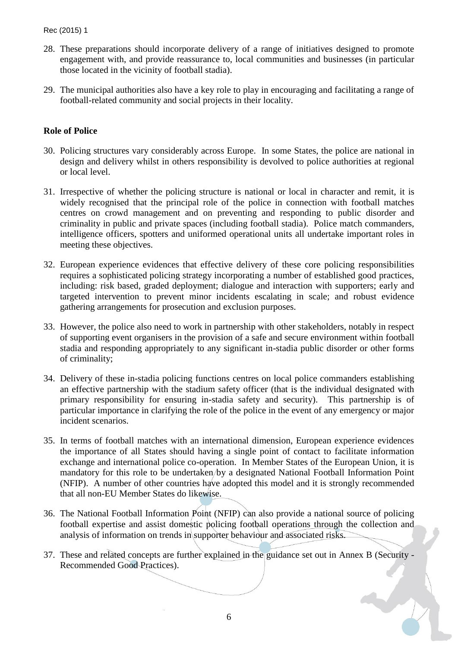- 28. These preparations should incorporate delivery of a range of initiatives designed to promote engagement with, and provide reassurance to, local communities and businesses (in particular those located in the vicinity of football stadia).
- 29. The municipal authorities also have a key role to play in encouraging and facilitating a range of football-related community and social projects in their locality.

## **Role of Police**

- 30. Policing structures vary considerably across Europe. In some States, the police are national in design and delivery whilst in others responsibility is devolved to police authorities at regional or local level.
- 31. Irrespective of whether the policing structure is national or local in character and remit, it is widely recognised that the principal role of the police in connection with football matches centres on crowd management and on preventing and responding to public disorder and criminality in public and private spaces (including football stadia). Police match commanders, intelligence officers, spotters and uniformed operational units all undertake important roles in meeting these objectives.
- 32. European experience evidences that effective delivery of these core policing responsibilities requires a sophisticated policing strategy incorporating a number of established good practices, including: risk based, graded deployment; dialogue and interaction with supporters; early and targeted intervention to prevent minor incidents escalating in scale; and robust evidence gathering arrangements for prosecution and exclusion purposes.
- 33. However, the police also need to work in partnership with other stakeholders, notably in respect of supporting event organisers in the provision of a safe and secure environment within football stadia and responding appropriately to any significant in-stadia public disorder or other forms of criminality;
- 34. Delivery of these in-stadia policing functions centres on local police commanders establishing an effective partnership with the stadium safety officer (that is the individual designated with primary responsibility for ensuring in-stadia safety and security). This partnership is of particular importance in clarifying the role of the police in the event of any emergency or major incident scenarios.
- 35. In terms of football matches with an international dimension, European experience evidences the importance of all States should having a single point of contact to facilitate information exchange and international police co-operation. In Member States of the European Union, it is mandatory for this role to be undertaken/by a designated National Football Information Point (NFIP). A number of other countries have adopted this model and it is strongly recommended that all non-EU Member States do likewise.
- 36. The National Football Information Point (NFIP) can also provide a national source of policing football expertise and assist domestic policing football operations through the collection and analysis of information on trends in supporter behaviour and associated risks.
- 37. These and related concepts are further explained in the guidance set out in Annex B (Security Recommended Good Practices).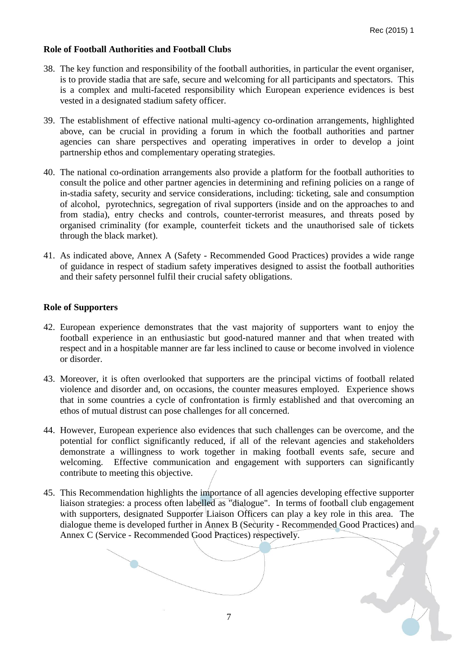# **Role of Football Authorities and Football Clubs**

- 38. The key function and responsibility of the football authorities, in particular the event organiser, is to provide stadia that are safe, secure and welcoming for all participants and spectators. This is a complex and multi-faceted responsibility which European experience evidences is best vested in a designated stadium safety officer.
- 39. The establishment of effective national multi-agency co-ordination arrangements, highlighted above, can be crucial in providing a forum in which the football authorities and partner agencies can share perspectives and operating imperatives in order to develop a joint partnership ethos and complementary operating strategies.
- 40. The national co-ordination arrangements also provide a platform for the football authorities to consult the police and other partner agencies in determining and refining policies on a range of in-stadia safety, security and service considerations, including: ticketing, sale and consumption of alcohol, pyrotechnics, segregation of rival supporters (inside and on the approaches to and from stadia), entry checks and controls, counter-terrorist measures, and threats posed by organised criminality (for example, counterfeit tickets and the unauthorised sale of tickets through the black market).
- 41. As indicated above, Annex A (Safety Recommended Good Practices) provides a wide range of guidance in respect of stadium safety imperatives designed to assist the football authorities and their safety personnel fulfil their crucial safety obligations.

## **Role of Supporters**

- 42. European experience demonstrates that the vast majority of supporters want to enjoy the football experience in an enthusiastic but good-natured manner and that when treated with respect and in a hospitable manner are far less inclined to cause or become involved in violence or disorder.
- 43. Moreover, it is often overlooked that supporters are the principal victims of football related violence and disorder and, on occasions, the counter measures employed. Experience shows that in some countries a cycle of confrontation is firmly established and that overcoming an ethos of mutual distrust can pose challenges for all concerned.
- 44. However, European experience also evidences that such challenges can be overcome, and the potential for conflict significantly reduced, if all of the relevant agencies and stakeholders demonstrate a willingness to work together in making football events safe, secure and welcoming. Effective communication and engagement with supporters can significantly contribute to meeting this objective.
- 45. This Recommendation highlights the importance of all agencies developing effective supporter liaison strategies: a process often labelled as "dialogue". In terms of football club engagement with supporters, designated Supporter Liaison Officers can play a key role in this area. The dialogue theme is developed further in Annex B (Security - Recommended Good Practices) and Annex C (Service - Recommended Good Practices) respectively.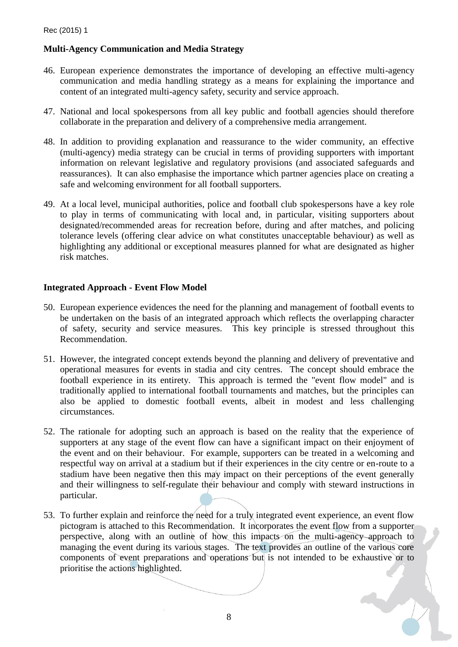# **Multi-Agency Communication and Media Strategy**

- 46. European experience demonstrates the importance of developing an effective multi-agency communication and media handling strategy as a means for explaining the importance and content of an integrated multi-agency safety, security and service approach.
- 47. National and local spokespersons from all key public and football agencies should therefore collaborate in the preparation and delivery of a comprehensive media arrangement.
- 48. In addition to providing explanation and reassurance to the wider community, an effective (multi-agency) media strategy can be crucial in terms of providing supporters with important information on relevant legislative and regulatory provisions (and associated safeguards and reassurances). It can also emphasise the importance which partner agencies place on creating a safe and welcoming environment for all football supporters.
- 49. At a local level, municipal authorities, police and football club spokespersons have a key role to play in terms of communicating with local and, in particular, visiting supporters about designated/recommended areas for recreation before, during and after matches, and policing tolerance levels (offering clear advice on what constitutes unacceptable behaviour) as well as highlighting any additional or exceptional measures planned for what are designated as higher risk matches.

## **Integrated Approach - Event Flow Model**

- 50. European experience evidences the need for the planning and management of football events to be undertaken on the basis of an integrated approach which reflects the overlapping character of safety, security and service measures. This key principle is stressed throughout this Recommendation.
- 51. However, the integrated concept extends beyond the planning and delivery of preventative and operational measures for events in stadia and city centres. The concept should embrace the football experience in its entirety. This approach is termed the "event flow model" and is traditionally applied to international football tournaments and matches, but the principles can also be applied to domestic football events, albeit in modest and less challenging circumstances.
- 52. The rationale for adopting such an approach is based on the reality that the experience of supporters at any stage of the event flow can have a significant impact on their enjoyment of the event and on their behaviour. For example, supporters can be treated in a welcoming and respectful way on arrival at a stadium but if their experiences in the city centre or en-route to a stadium have been negative then this may impact on their perceptions of the event generally and their willingness to self-regulate their behaviour and comply with steward instructions in particular.
- 53. To further explain and reinforce the need for a truly integrated event experience, an event flow pictogram is attached to this Recommendation. It incorporates the event flow from a supporter perspective, along with an outline of how this impacts on the multi-agency approach to managing the event during its various stages. The text provides an outline of the various core components of event preparations and operations but is not intended to be exhaustive or to prioritise the actions highlighted.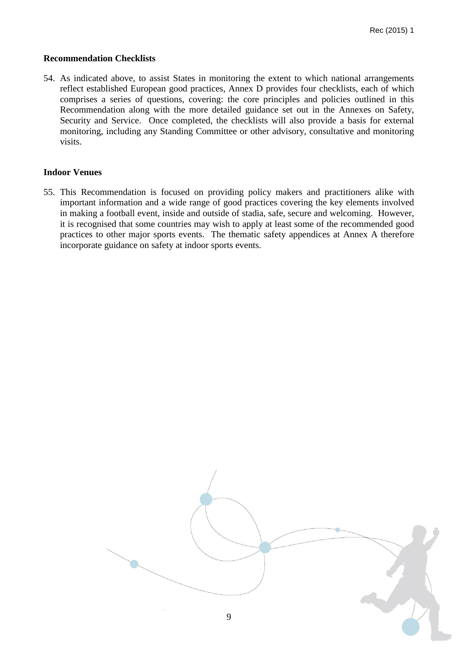#### **Recommendation Checklists**

54. As indicated above, to assist States in monitoring the extent to which national arrangements reflect established European good practices, Annex D provides four checklists, each of which comprises a series of questions, covering: the core principles and policies outlined in this Recommendation along with the more detailed guidance set out in the Annexes on Safety, Security and Service. Once completed, the checklists will also provide a basis for external monitoring, including any Standing Committee or other advisory, consultative and monitoring visits.

## **Indoor Venues**

55. This Recommendation is focused on providing policy makers and practitioners alike with important information and a wide range of good practices covering the key elements involved in making a football event, inside and outside of stadia, safe, secure and welcoming. However, it is recognised that some countries may wish to apply at least some of the recommended good practices to other major sports events. The thematic safety appendices at Annex A therefore incorporate guidance on safety at indoor sports events.

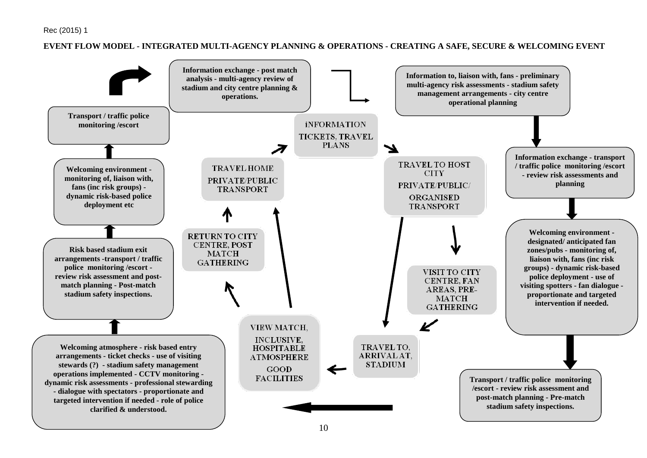#### **EVENT FLOW MODEL - INTEGRATED MULTI-AGENCY PLANNING & OPERATIONS - CREATING A SAFE, SECURE & WELCOMING EVENT**

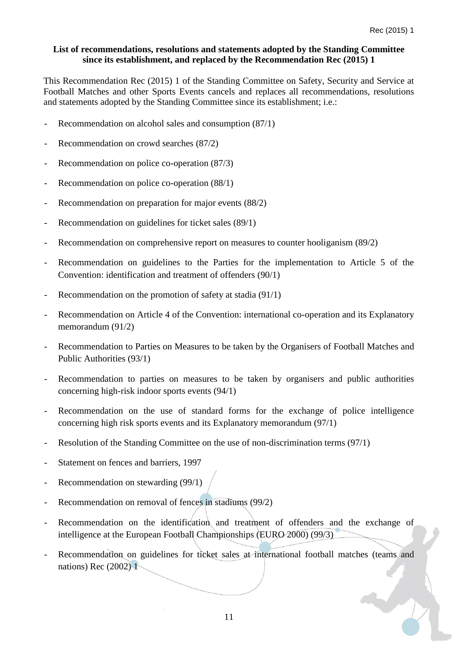## **List of recommendations, resolutions and statements adopted by the Standing Committee since its establishment, and replaced by the Recommendation Rec (2015) 1**

This Recommendation Rec (2015) 1 of the Standing Committee on Safety, Security and Service at Football Matches and other Sports Events cancels and replaces all recommendations, resolutions and statements adopted by the Standing Committee since its establishment; i.e.:

- Recommendation on alcohol sales and consumption (87/1)
- Recommendation on crowd searches (87/2)
- Recommendation on police co-operation (87/3)
- Recommendation on police co-operation (88/1)
- Recommendation on preparation for major events (88/2)
- Recommendation on guidelines for ticket sales (89/1)
- Recommendation on comprehensive report on measures to counter hooliganism (89/2)
- Recommendation on guidelines to the Parties for the implementation to Article 5 of the Convention: identification and treatment of offenders (90/1)
- Recommendation on the promotion of safety at stadia (91/1)
- Recommendation on Article 4 of the Convention: international co-operation and its Explanatory memorandum (91/2)
- Recommendation to Parties on Measures to be taken by the Organisers of Football Matches and Public Authorities (93/1)
- Recommendation to parties on measures to be taken by organisers and public authorities concerning high-risk indoor sports events (94/1)
- Recommendation on the use of standard forms for the exchange of police intelligence concerning high risk sports events and its Explanatory memorandum (97/1)
- Resolution of the Standing Committee on the use of non-discrimination terms (97/1)
- Statement on fences and barriers, 1997
- Recommendation on stewarding (99/1)
- Recommendation on removal of fences in stadiums (99/2)
- Recommendation on the identification and treatment of offenders and the exchange of intelligence at the European Football Championships (EURO 2000) (99/3)
- Recommendation on guidelines for ticket sales at international football matches (teams and nations) Rec (2002) 1